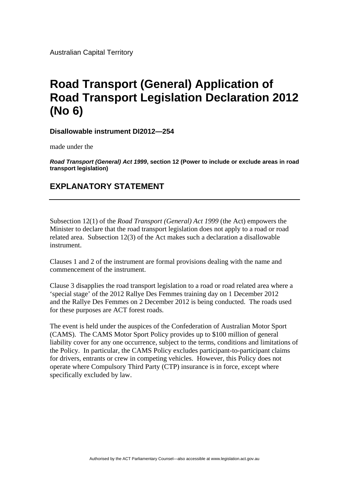Australian Capital Territory

## **Road Transport (General) Application of Road Transport Legislation Declaration 2012 (No 6)**

**Disallowable instrument DI2012—254**

made under the

*Road Transport (General) Act 1999***, section 12 (Power to include or exclude areas in road transport legislation)**

## **EXPLANATORY STATEMENT**

Subsection 12(1) of the *Road Transport (General) Act 1999* (the Act) empowers the Minister to declare that the road transport legislation does not apply to a road or road related area. Subsection 12(3) of the Act makes such a declaration a disallowable instrument.

Clauses 1 and 2 of the instrument are formal provisions dealing with the name and commencement of the instrument.

Clause 3 disapplies the road transport legislation to a road or road related area where a 'special stage' of the 2012 Rallye Des Femmes training day on 1 December 2012 and the Rallye Des Femmes on 2 December 2012 is being conducted. The roads used for these purposes are ACT forest roads.

The event is held under the auspices of the Confederation of Australian Motor Sport (CAMS). The CAMS Motor Sport Policy provides up to \$100 million of general liability cover for any one occurrence, subject to the terms, conditions and limitations of the Policy. In particular, the CAMS Policy excludes participant-to-participant claims for drivers, entrants or crew in competing vehicles. However, this Policy does not operate where Compulsory Third Party (CTP) insurance is in force, except where specifically excluded by law.